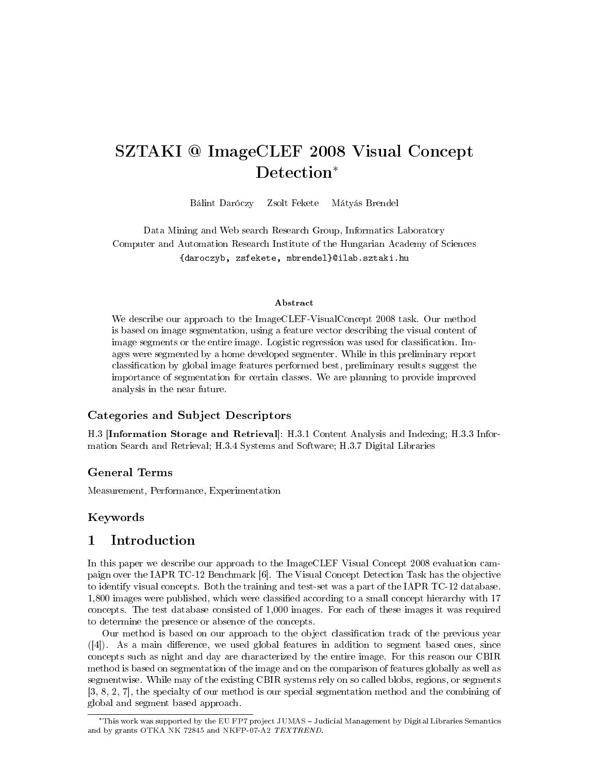# SZTAKI @ ImageCLEF 2008 Visual Concept Detection<sup>\*</sup>

Bálint Daróczy Zsolt Fekete Mátyás Brendel

Data Mining and Web search Research Group, Informatics Laboratory Computer and Automation Research Institute of the Hungarian Academy of Sciences {daroczyb, zsfekete, mbrendel}@ilab.sztaki.hu

#### Abstract

We describe our approach to the ImageCLEF-VisualConcept 2008 task. Our method is based on image segmentation, using a feature vector describing the visual content of image segments or the entire image. Logistic regression was used for classification. Images were segmented by a home developed segmenter. While in this preliminary report classification by global image features performed best, preliminary results suggest the importance of segmentation for certain classes. We are planning to provide improved analysis in the near future.

### Categories and Subject Descriptors

H.3 [Information Storage and Retrieval]: H.3.1 Content Analysis and Indexing; H.3.3 Information Search and Retrieval; H.3.4 Systems and Software; H.3.7 Digital Libraries

### General Terms

Measurement, Performance, Experimentation

#### Keywords

### 1 Introduction

In this paper we describe our approach to the ImageCLEF Visual Concept 2008 evaluation campaign over the IAPR TC-12 Benchmark [6]. The Visual Concept Detection Task has the objective to identify visual concepts. Both the training and test-set was a part of the IAPR TC-12 database. 1,800 images were published, which were classified according to a small concept hierarchy with 17 concepts. The test database consisted of 1,000 images. For each of these images it was required to determine the presence or absence of the concepts.

Our method is based on our approach to the object classication track of the previous year  $([4])$ . As a main difference, we used global features in addition to segment based ones, since concepts such as night and day are characterized by the entire image. For this reason our CBIR method is based on segmentation of the image and on the comparison of features globally as well as segmentwise. While may of the existing CBIR systems rely on so called blobs, regions, or segments [3, 8, 2, 7], the specialty of our method is our special segmentation method and the combining of global and segment based approach.

<sup>∗</sup>This work was supported by the EU FP7 project JUMAS Judicial Management by Digital Libraries Semantics and by grants OTKA NK 72845 and NKFP-07-A2 TEXTREND.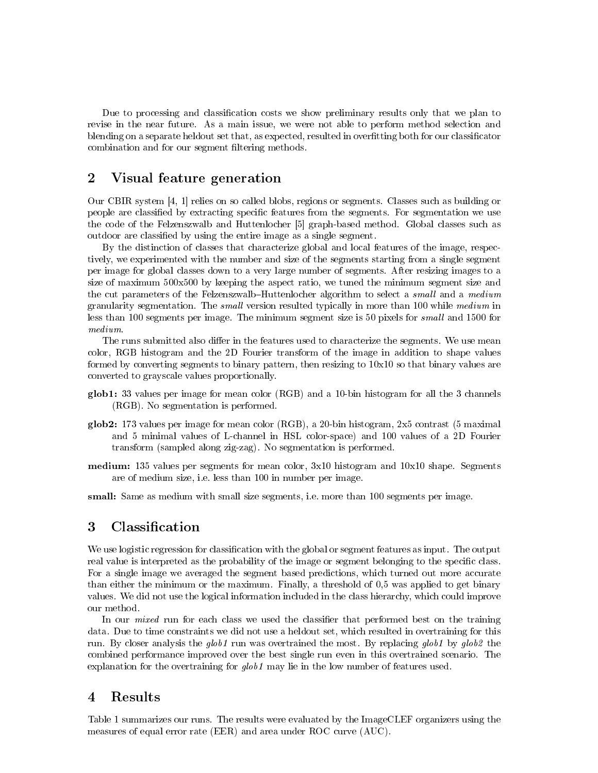Due to processing and classification costs we show preliminary results only that we plan to revise in the near future. As a main issue, we were not able to perform method selection and blending on a separate heldout set that, as expected, resulted in overfitting both for our classificator combination and for our segment filtering methods.

# 2 Visual feature generation

Our CBIR system [4, 1] relies on so called blobs, regions or segments. Classes such as building or people are classified by extracting specific features from the segments. For segmentation we use the code of the Felzenszwalb and Huttenlocher [5] graph-based method. Global classes such as outdoor are classified by using the entire image as a single segment.

By the distinction of classes that characterize global and local features of the image, respectively, we experimented with the number and size of the segments starting from a single segment per image for global classes down to a very large number of segments. After resizing images to a size of maximum 500x500 by keeping the aspect ratio, we tuned the minimum segment size and the cut parameters of the Felzenszwalb-Huttenlocher algorithm to select a *small* and a medium granularity segmentation. The *small* version resulted typically in more than 100 while medium in less than 100 segments per image. The minimum segment size is 50 pixels for small and 1500 for medium.

The runs submitted also differ in the features used to characterize the segments. We use mean color, RGB histogram and the 2D Fourier transform of the image in addition to shape values formed by converting segments to binary pattern, then resizing to 10x10 so that binary values are converted to grayscale values proportionally.

- glob1: 33 values per image for mean color (RGB) and a 10-bin histogram for all the 3 channels (RGB). No segmentation is performed.
- glob2: 173 values per image for mean color (RGB), a 20-bin histogram, 2x5 contrast (5 maximal and 5 minimal values of L-channel in HSL color-space) and 100 values of a 2D Fourier transform (sampled along zig-zag). No segmentation is performed.
- medium: 135 values per segments for mean color, 3x10 histogram and 10x10 shape. Segments are of medium size, i.e. less than 100 in number per image.

small: Same as medium with small size segments, i.e. more than 100 segments per image.

# 3 Classification

We use logistic regression for classification with the global or segment features as input. The output real value is interpreted as the probability of the image or segment belonging to the specific class. For a single image we averaged the segment based predictions, which turned out more accurate than either the minimum or the maximum. Finally, a threshold of 0,5 was applied to get binary values. We did not use the logical information included in the class hierarchy, which could improve our method.

In our *mixed* run for each class we used the classifier that performed best on the training data. Due to time constraints we did not use a heldout set, which resulted in overtraining for this run. By closer analysis the glob1 run was overtrained the most. By replacing glob1 by glob2 the combined performance improved over the best single run even in this overtrained scenario. The explanation for the overtraining for  $qlob1$  may lie in the low number of features used.

# 4 Results

Table 1 summarizes our runs. The results were evaluated by the ImageCLEF organizers using the measures of equal error rate (EER) and area under ROC curve (AUC).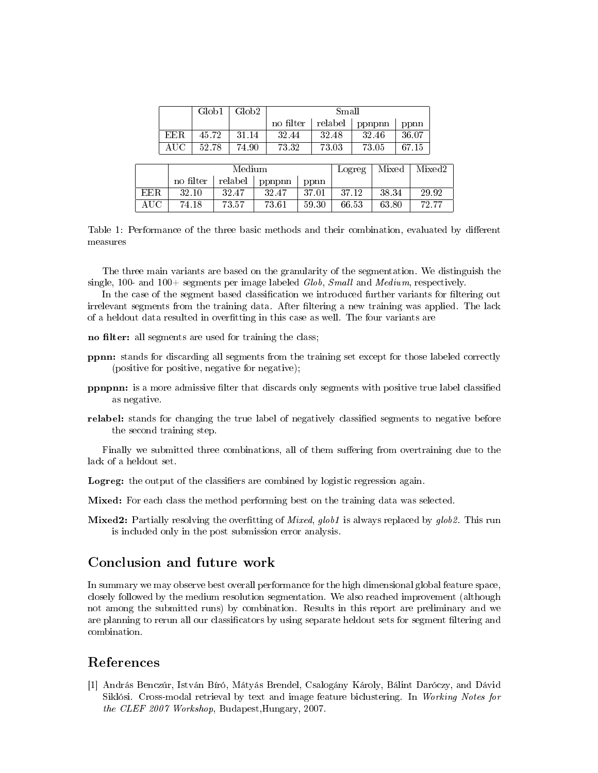|           |           | Glob1     |       | Glob <sub>2</sub> |       | Small     |  |        |         |       |        |        |       |  |
|-----------|-----------|-----------|-------|-------------------|-------|-----------|--|--------|---------|-------|--------|--------|-------|--|
|           |           |           |       |                   |       | no filter |  |        | relabel |       | ppnpnn |        | ppnn  |  |
|           | EER.      |           | 45.72 |                   | 31.14 | 32.44     |  | 32.48  |         | 32.46 |        | 36.07  |       |  |
|           | $\rm AUC$ | 52.78     |       | 74.90             | 73.32 |           |  |        | 73.03   | 73.05 |        | 67.15  |       |  |
|           |           |           |       |                   |       |           |  |        |         |       |        |        |       |  |
|           |           |           |       | Medium            |       |           |  | Logreg |         | Mixed |        | Mixed2 |       |  |
|           |           | no filter |       | relabel           |       | ppnpnn    |  | ppnn   |         |       |        |        |       |  |
| EER.      |           | 32.10     |       | 32.47             |       | 32.47     |  | 37.01  | 37.12   |       | 38.34  |        | 29.92 |  |
| $\rm AUC$ |           | 74.18     |       | 73.57             | 73.61 |           |  | 59.30  |         | 66.53 | 63.80  |        | 72.77 |  |

Table 1: Performance of the three basic methods and their combination, evaluated by different measures

The three main variants are based on the granularity of the segmentation. We distinguish the single, 100- and 100+ segments per image labeled  $Glob$ , Small and Medium, respectively.

In the case of the segment based classification we introduced further variants for filtering out irrelevant segments from the training data. After filtering a new training was applied. The lack of a heldout data resulted in overtting in this case as well. The four variants are

- no filter: all segments are used for training the class;
- ppnn: stands for discarding all segments from the training set except for those labeled correctly (positive for positive, negative for negative);
- **ppnpnn:** is a more admissive filter that discards only segments with positive true label classified as negative.
- relabel: stands for changing the true label of negatively classified segments to negative before the second training step.

Finally we submitted three combinations, all of them suffering from overtraining due to the lack of a heldout set.

Logreg: the output of the classifiers are combined by logistic regression again.

Mixed: For each class the method performing best on the training data was selected.

**Mixed2:** Partially resolving the overfitting of *Mixed, glob1* is always replaced by  $glob2$ . This run is included only in the post submission error analysis.

### Conclusion and future work

In summary we may observe best overall performance for the high dimensional global feature space, closely followed by the medium resolution segmentation. We also reached improvement (although not among the submitted runs) by combination. Results in this report are preliminary and we are planning to rerun all our classificators by using separate heldout sets for segment filtering and combination.

## References

[1] András Benczúr, István Bíró, Mátyás Brendel, Csalogány Károly, Bálint Daróczy, and Dávid Siklósi. Cross-modal retrieval by text and image feature biclustering. In Working Notes for the CLEF 2007 Workshop, Budapest,Hungary, 2007.